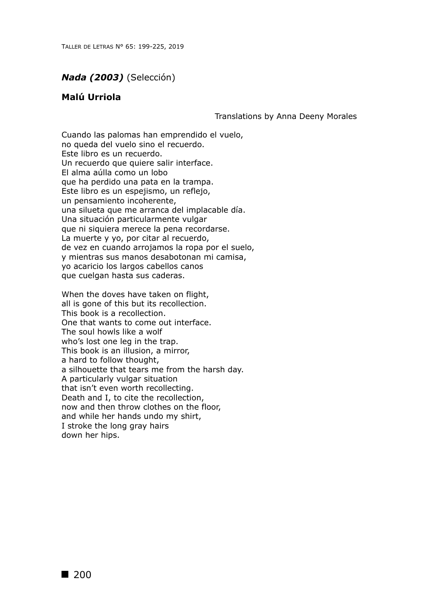## *Nada (2003)* (Selección)

## **Malú Urriola**

Translations by Anna Deeny Morales

Cuando las palomas han emprendido el vuelo, no queda del vuelo sino el recuerdo. Este libro es un recuerdo. Un recuerdo que quiere salir interface. El alma aúlla como un lobo que ha perdido una pata en la trampa. Este libro es un espejismo, un reflejo, un pensamiento incoherente, una silueta que me arranca del implacable día. Una situación particularmente vulgar que ni siquiera merece la pena recordarse. La muerte y yo, por citar al recuerdo, de vez en cuando arrojamos la ropa por el suelo, y mientras sus manos desabotonan mi camisa, yo acaricio los largos cabellos canos que cuelgan hasta sus caderas.

When the doves have taken on flight, all is gone of this but its recollection. This book is a recollection. One that wants to come out interface. The soul howls like a wolf who's lost one leg in the trap. This book is an illusion, a mirror, a hard to follow thought, a silhouette that tears me from the harsh day. A particularly vulgar situation that isn't even worth recollecting. Death and I, to cite the recollection, now and then throw clothes on the floor, and while her hands undo my shirt, I stroke the long gray hairs down her hips.